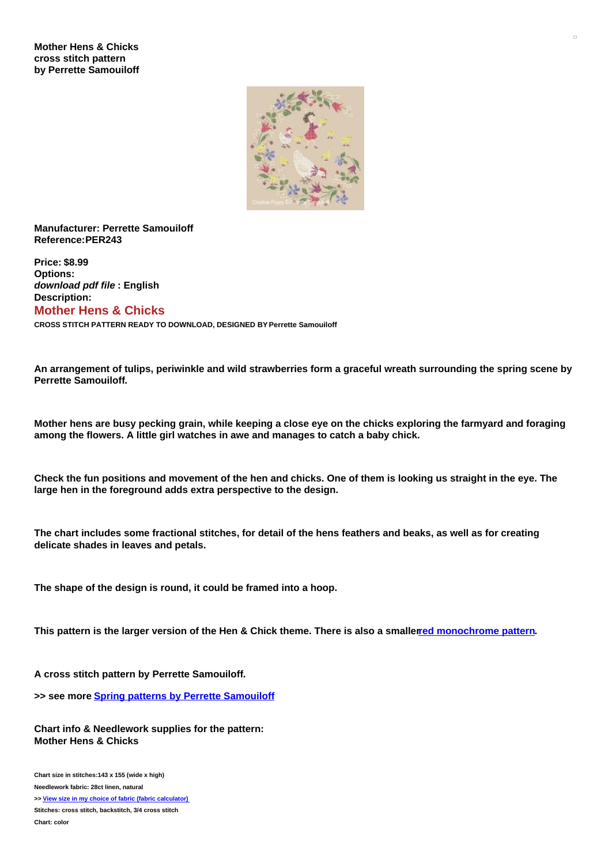## **Mother Hens & Chicks cross stitch pattern by Perrette Samouiloff**



## **Manufacturer: Perrette Samouiloff Reference:PER243**

**Price: \$8.99 Options:** *download pdf file* **: English Description: Mother Hens & Chicks**

**CROSS STITCH PATTERN READY TO DOWNLOAD, DESIGNED BY Perrette Samouiloff**

An arrangement of tulips, periwinkle and wild strawberries form a graceful wreath surrounding the spring scene by **Perrette Samouiloff.**

Mother hens are busy pecking grain, while keeping a close eye on the chicks exploring the farmyard and foraging **among the flowers. A little girl watches in awe and manages to catch a baby chick.**

Check the fun positions and movement of the hen and chicks. One of them is looking us straight in the eve. The **large hen in the foreground adds extra perspective to the design.**

The chart includes some fractional stitches, for detail of the hens feathers and beaks, as well as for creating **delicate shades in leaves and petals.**

**The shape of the design is round, it could be framed into a hoop.**

This pattern is the larger version of the Hen & Chick theme. There is also a smallered [monochrome](https://www.creativepoppypatterns.com/perrette-samouiloff-mother-chicks-cross-stitch-xml-296_299-3805.html) pattern.

**A cross stitch pattern by Perrette Samouiloff.**

**>> see more Spring patterns by Perrette [Samouiloff](https://www.creativepoppypatterns.com/perrette-samouiloff-spring-summer-xsl-296_299_362.html)**

**Chart info & Needlework supplies for the pattern: Mother Hens & Chicks**